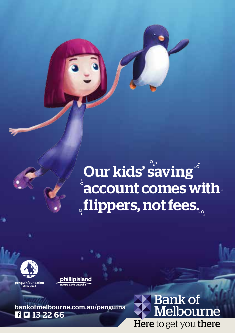Our kids' saving<sup>®</sup> account comes with **sflippers, not fees.** 



penguinfoundation nhillin island



**12** 13 22 66 bankofmelbourne.com.au/penguins